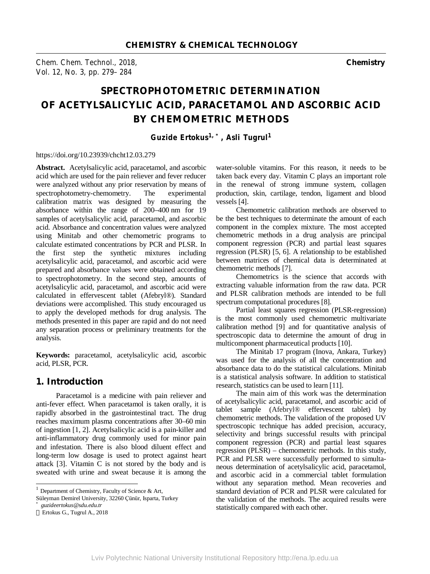*Chem. Chem. Technol., 2018,* **Chemistry**  *Vol. 12, No. 3, pp. 279–284* 

# **SPECTROPHOTOMETRIC DETERMINATION OF ACETYLSALICYLIC ACID, PARACETAMOL AND ASCORBIC ACID BY CHEMOMETRIC METHODS**

*Guzide Ertokus1, \*, Asli Tugrul<sup>1</sup>*

#### https://doi.org/10.23939/chcht12.03.279

Abstract. Acetylsalicylic acid, paracetamol, and ascorbic acid which are used for the pain reliever and fever reducer were analyzed without any prior reservation by means of spectrophotometry-chemometry. The experimental calibration matrix was designed by measuring the absorbance within the range of 200–400 nm for 19 samples of acetylsalicylic acid, paracetamol, and ascorbic acid. Absorbance and concentration values were analyzed using Minitab and other chemometric programs to calculate estimated concentrations by PCR and PLSR. In the first step the synthetic mixtures including acetylsalicylic acid, paracetamol, and ascorbic acid were prepared and absorbance values were obtained according to spectrophotometry. In the second step, amounts of acetylsalicylic acid, paracetamol, and ascorbic acid were calculated in effervescent tablet (Afebryl®). Standard deviations were accomplished. This study encouraged us to apply the developed methods for drug analysis. The methods presented in this paper are rapid and do not need any separation process or preliminary treatments for the analysis.

**Keywords:** paracetamol, acetylsalicylic acid, ascorbic acid, PLSR, PCR.

#### **1. Introduction**

Paracetamol is a medicine with pain reliever and anti-fever effect. When paracetamol is taken orally, it is rapidly absorbed in the gastrointestinal tract. The drug reaches maximum plasma concentrations after 30–60 min of ingestion [1, 2]. Acetylsalicylic acid is a pain-killer and anti-inflammatory drug commonly used for minor pain and infestation. There is also blood diluent effect and long-term low dosage is used to protect against heart attack [3]. Vitamin C is not stored by the body and is sweated with urine and sweat because it is among the

j

water-soluble vitamins. For this reason, it needs to be taken back every day. Vitamin C plays an important role in the renewal of strong immune system, collagen production, skin, cartilage, tendon, ligament and blood vessels [4].

Chemometric calibration methods are observed to be the best techniques to determinate the amount of each component in the complex mixture. The most accepted chemometric methods in a drug analysis are principal component regression (PCR) and partial least squares regression (PLSR) [5, 6]. A relationship to be established between matrices of chemical data is determinated at chemometric methods [7].

Chemometrics is the science that accords with extracting valuable information from the raw data. PCR and PLSR calibration methods are intended to be full spectrum computational procedures [8].

Partial least squares regression (PLSR-regression) is the most commonly used chemometric multivariate calibration method [9] and for quantitative analysis of spectroscopic data to determine the amount of drug in multicomponent pharmaceutical products [10].

The Minitab 17 program (Inova, Ankara, Turkey) was used for the analysis of all the concentration and absorbance data to do the statistical calculations. Minitab is a statistical analysis software. In addition to statistical research, statistics can be used to learn [11].

The main aim of this work was the determination of acetylsalicylic acid, paracetamol, and ascorbic acid of tablet sample (Afebryl® effervescent tablet) by chemometric methods. The validation of the proposed UV spectroscopic technique has added precision, accuracy, selectivity and brings successful results with principal component regression (PCR) and partial least squares regression (PLSR) – chemometric methods. In this study, PCR and PLSR were successfully performed to simultaneous determination of acetylsalicylic acid, paracetamol, and ascorbic acid in a commercial tablet formulation without any separation method. Mean recoveries and standard deviation of PCR and PLSR were calculated for the validation of the methods. The acquired results were statistically compared with each other.

<sup>&</sup>lt;sup>1</sup> Department of Chemistry, Faculty of Science & Art,

Süleyman Demirel University, 32260 Çünür, Isparta, Turkey

*<sup>\*</sup> guzideertokus@sdu.edu.tr* 

Ertokus G., Tugrul A., 2018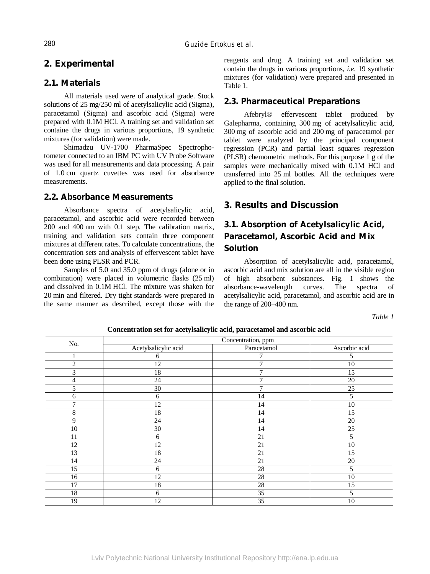### **2. Experimental**

#### **2.1. Materials**

All materials used were of analytical grade. Stock solutions of 25 mg/250 ml of acetylsalicylic acid (Sigma), paracetamol (Sigma) and ascorbic acid (Sigma) were prepared with 0.1M HCl. A training set and validation set containe the drugs in various proportions, 19 synthetic mixtures (for validation) were made.

Shimadzu UV-1700 PharmaSpec Spectrophotometer connected to an IBM PC with UV Probe Software was used for all measurements and data processing. A pair of 1.0 cm quartz cuvettes was used for absorbance measurements.

#### **2.2. Absorbance Measurements**

Absorbance spectra of acetylsalicylic acid, paracetamol, and ascorbic acid were recorded between 200 and 400 nm with 0.1 step. The calibration matrix, training and validation sets contain three component mixtures at different rates. To calculate concentrations, the concentration sets and analysis of effervescent tablet have been done using PLSR and PCR.

Samples of 5.0 and 35.0 ppm of drugs (alone or in combination) were placed in volumetric flasks (25 ml) and dissolved in 0.1M HCl. The mixture was shaken for 20 min and filtered. Dry tight standards were prepared in the same manner as described, except those with the reagents and drug. A training set and validation set contain the drugs in various proportions, *i.e.* 19 synthetic mixtures (for validation) were prepared and presented in Table 1.

#### **2.3. Pharmaceutical Preparations**

Afebryl® effervescent tablet produced by Galepharma, containing 300 mg of acetylsalicylic acid, 300 mg of ascorbic acid and 200 mg of paracetamol per tablet were analyzed by the principal component regression (PCR) and partial least squares regression (PLSR) chemometric methods. For this purpose 1 g of the samples were mechanically mixed with 0.1M HCl and transferred into 25 ml bottles. All the techniques were applied to the final solution.

### **3. Results and Discussion**

### **3.1. Absorption of Acetylsalicylic Acid, Paracetamol, Ascorbic Acid and Mix Solution**

Absorption of acetylsalicylic acid, paracetamol, ascorbic acid and mix solution are all in the visible region of high absorbent substances. Fig. 1 shows the absorbance-wavelength curves. The spectra of acetylsalicylic acid, paracetamol, and ascorbic acid are in the range of 200–400 nm.

*Table 1* 

| No.            | Concentration, ppm   |             |               |  |  |  |
|----------------|----------------------|-------------|---------------|--|--|--|
|                | Acetylsalicylic acid | Paracetamol | Ascorbic acid |  |  |  |
| 1              | 6                    | 7           | 5             |  |  |  |
| $\sqrt{2}$     | 12                   | 7           | $10\,$        |  |  |  |
| 3              | 18                   | 7           | 15            |  |  |  |
| $\overline{4}$ | 24                   | 7           | $20\,$        |  |  |  |
| 5              | 30                   | 7           | 25            |  |  |  |
| 6              | 6                    | 14          | 5             |  |  |  |
| 7              | 12                   | 14          | 10            |  |  |  |
| $8\,$          | 18                   | 14          | 15            |  |  |  |
| 9              | 24                   | 14          | 20            |  |  |  |
| 10             | 30                   | 14          | 25            |  |  |  |
| 11             | 6                    | 21          | 5             |  |  |  |
| 12             | 12                   | 21          | $10\,$        |  |  |  |
| 13             | 18                   | 21          | 15            |  |  |  |
| 14             | 24                   | 21          | 20            |  |  |  |
| 15             | 6                    | 28          | 5             |  |  |  |
| 16             | 12                   | 28          | $10\,$        |  |  |  |
| 17             | 18                   | 28          | 15            |  |  |  |
| 18             | 6                    | 35          | 5             |  |  |  |
| 19             | 12                   | 35          | 10            |  |  |  |

**Concentration set for acetylsalicylic acid, paracetamol and ascorbic acid**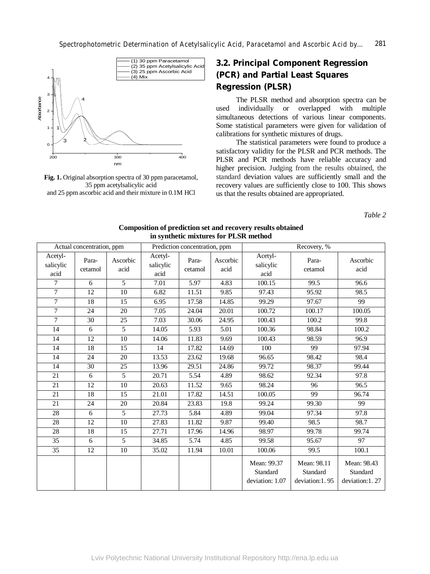

**Fig. 1.** Original absorption spectra of 30 ppm paracetamol, 35 ppm acetylsalicylic acid and 25 ppm ascorbic acid and their mixture in 0.1M HCl

## **3.2. Principal Component Regression (PCR) and Partial Least Squares Regression (PLSR)**

The PLSR method and absorption spectra can be used individually or overlapped with multiple simultaneous detections of various linear components. Some statistical parameters were given for validation of calibrations for synthetic mixtures of drugs.

The statistical parameters were found to produce a satisfactory validity for the PLSR and PCR methods. The PLSR and PCR methods have reliable accuracy and higher precision. Judging from the results obtained, the standard deviation values are sufficiently small and the recovery values are sufficiently close to 100. This shows us that the results obtained are appropriated.

*Table 2* 

| Actual concentration, ppm    |                  | Prediction concentration, ppm |                              |                  | Recovery, %      |                                            |                                           |                                           |
|------------------------------|------------------|-------------------------------|------------------------------|------------------|------------------|--------------------------------------------|-------------------------------------------|-------------------------------------------|
| Acetyl-<br>salicylic<br>acid | Para-<br>cetamol | Ascorbic<br>acid              | Acetyl-<br>salicylic<br>acid | Para-<br>cetamol | Ascorbic<br>acid | Acetyl-<br>salicylic<br>acid               | Para-<br>cetamol                          | Ascorbic<br>acid                          |
| $\overline{7}$               | 6                | $\overline{5}$                | 7.01                         | 5.97             | 4.83             | 100.15                                     | 99.5                                      | 96.6                                      |
| $\overline{7}$               | $\overline{12}$  | $\overline{10}$               | 6.82                         | 11.51            | 9.85             | 97.43                                      | 95.92                                     | 98.5                                      |
| $\overline{7}$               | 18               | 15                            | 6.95                         | 17.58            | 14.85            | 99.29                                      | 97.67                                     | 99                                        |
| $\overline{7}$               | 24               | 20                            | 7.05                         | 24.04            | 20.01            | 100.72                                     | 100.17                                    | 100.05                                    |
| $\overline{7}$               | 30               | 25                            | 7.03                         | 30.06            | 24.95            | 100.43                                     | 100.2                                     | 99.8                                      |
| 14                           | 6                | 5                             | 14.05                        | 5.93             | 5.01             | 100.36                                     | 98.84                                     | 100.2                                     |
| 14                           | 12               | 10                            | 14.06                        | 11.83            | 9.69             | 100.43                                     | 98.59                                     | 96.9                                      |
| 14                           | 18               | 15                            | 14                           | 17.82            | 14.69            | 100                                        | 99                                        | 97.94                                     |
| 14                           | $\overline{24}$  | 20                            | 13.53                        | 23.62            | 19.68            | 96.65                                      | 98.42                                     | 98.4                                      |
| 14                           | 30               | 25                            | 13.96                        | 29.51            | 24.86            | 99.72                                      | 98.37                                     | 99.44                                     |
| $\overline{21}$              | 6                | 5                             | 20.71                        | 5.54             | 4.89             | 98.62                                      | 92.34                                     | 97.8                                      |
| 21                           | 12               | 10                            | 20.63                        | 11.52            | 9.65             | 98.24                                      | 96                                        | 96.5                                      |
| 21                           | 18               | 15                            | 21.01                        | 17.82            | 14.51            | 100.05                                     | 99                                        | 96.74                                     |
| 21                           | $\overline{24}$  | $\overline{20}$               | 20.84                        | 23.83            | 19.8             | 99.24                                      | 99.30                                     | 99                                        |
| $\overline{28}$              | 6                | 5                             | 27.73                        | 5.84             | 4.89             | 99.04                                      | 97.34                                     | 97.8                                      |
| $\overline{28}$              | $\overline{12}$  | 10                            | 27.83                        | 11.82            | 9.87             | 99.40                                      | 98.5                                      | 98.7                                      |
| 28                           | 18               | 15                            | 27.71                        | 17.96            | 14.96            | 98.97                                      | 99.78                                     | 99.74                                     |
| $\overline{35}$              | 6                | $\overline{5}$                | 34.85                        | 5.74             | 4.85             | 99.58                                      | 95.67                                     | 97                                        |
| $\overline{35}$              | 12               | 10                            | 35.02                        | 11.94            | 10.01            | 100.06                                     | 99.5                                      | 100.1                                     |
|                              |                  |                               |                              |                  |                  | Mean: 99.37<br>Standard<br>deviation: 1.07 | Mean: 98.11<br>Standard<br>deviation:1.95 | Mean: 98.43<br>Standard<br>deviation:1.27 |

**Composition of prediction set and recovery results obtained in synthetic mixtures for PLSR method**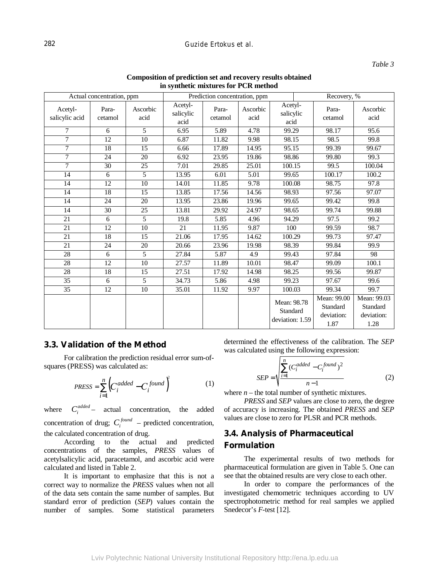#### 282 *Guzide Ertokus et al.*

#### *Table 3*

| т зуписис налин сэ гог т степной |                  |                  |                              |                               |                  |                                            |                                               |                                               |  |
|----------------------------------|------------------|------------------|------------------------------|-------------------------------|------------------|--------------------------------------------|-----------------------------------------------|-----------------------------------------------|--|
| Actual concentration, ppm        |                  |                  |                              | Prediction concentration, ppm |                  |                                            | Recovery, %                                   |                                               |  |
| Acetyl-<br>salicylic acid        | Para-<br>cetamol | Ascorbic<br>acid | Acetyl-<br>salicylic<br>acid | Para-<br>cetamol              | Ascorbic<br>acid | Acetyl-<br>salicylic<br>acid               | Para-<br>cetamol                              | Ascorbic<br>acid                              |  |
| $\tau$                           | 6                | 5                | 6.95                         | 5.89                          | 4.78             | 99.29                                      | 98.17                                         | 95.6                                          |  |
| $\overline{7}$                   | $\overline{12}$  | $\overline{10}$  | 6.87                         | 11.82                         | 9.98             | 98.15                                      | 98.5                                          | 99.8                                          |  |
| $\overline{7}$                   | $\overline{18}$  | $\overline{15}$  | 6.66                         | 17.89                         | 14.95            | 95.15                                      | 99.39                                         | 99.67                                         |  |
| $\overline{7}$                   | 24               | 20               | 6.92                         | 23.95                         | 19.86            | 98.86                                      | 99.80                                         | 99.3                                          |  |
| 7                                | 30               | 25               | 7.01                         | 29.85                         | 25.01            | 100.15                                     | 99.5                                          | 100.04                                        |  |
| 14                               | 6                | 5                | 13.95                        | 6.01                          | 5.01             | 99.65                                      | 100.17                                        | 100.2                                         |  |
| 14                               | $\overline{12}$  | 10               | 14.01                        | 11.85                         | 9.78             | 100.08                                     | 98.75                                         | 97.8                                          |  |
| 14                               | 18               | 15               | 13.85                        | 17.56                         | 14.56            | 98.93                                      | 97.56                                         | 97.07                                         |  |
| 14                               | 24               | 20               | 13.95                        | 23.86                         | 19.96            | 99.65                                      | 99.42                                         | 99.8                                          |  |
| 14                               | $\overline{30}$  | $\overline{25}$  | 13.81                        | 29.92                         | 24.97            | 98.65                                      | 99.74                                         | 99.88                                         |  |
| 21                               | 6                | 5                | 19.8                         | 5.85                          | 4.96             | 94.29                                      | 97.5                                          | 99.2                                          |  |
| 21                               | 12               | 10               | 21                           | 11.95                         | 9.87             | 100                                        | $\overline{9}9.59$                            | 98.7                                          |  |
| 21                               | 18               | 15               | 21.06                        | 17.95                         | 14.62            | 100.29                                     | 99.73                                         | 97.47                                         |  |
| $\overline{21}$                  | 24               | 20               | 20.66                        | 23.96                         | 19.98            | 98.39                                      | 99.84                                         | 99.9                                          |  |
| 28                               | 6                | 5                | 27.84                        | 5.87                          | 4.9              | 99.43                                      | 97.84                                         | 98                                            |  |
| 28                               | 12               | 10               | 27.57                        | 11.89                         | 10.01            | 98.47                                      | 99.09                                         | 100.1                                         |  |
| $\overline{28}$                  | $\overline{18}$  | $\overline{15}$  | 27.51                        | 17.92                         | 14.98            | 98.25                                      | 99.56                                         | 99.87                                         |  |
| $\overline{35}$                  | 6                | $\overline{5}$   | 34.73                        | 5.86                          | 4.98             | 99.23                                      | 97.67                                         | 99.6                                          |  |
| 35                               | 12               | 10               | 35.01                        | 11.92                         | 9.97             | 100.03                                     | 99.34                                         | 99.7                                          |  |
|                                  |                  |                  |                              |                               |                  | Mean: 98.78<br>Standard<br>deviation: 1.59 | Mean: 99.00<br>Standard<br>deviation:<br>1.87 | Mean: 99.03<br>Standard<br>deviation:<br>1.28 |  |

#### **Composition of prediction set and recovery results obtained in synthetic mixtures for PCR method**

### **3.3. Validation of the Method**

For calibration the prediction residual error sum-ofsquares (PRESS) was calculated as:

$$
PRESS = \sum_{i=1}^{n} \left( C_i^{added} - C_i^{found} \right)^2 \tag{1}
$$

where  $C_i^{added}$  actual concentration, the added concentration of drug;  $C_i^{found}$  – predicted concentration, the calculated concentration of drug.

According to the actual and predicted concentrations of the samples, *PRESS* values of acetylsalicylic acid, paracetamol, and ascorbic acid were calculated and listed in Table 2.

It is important to emphasize that this is not a correct way to normalize the *PRESS* values when not all of the data sets contain the same number of samples. But standard error of prediction (*SEP*) values contain the number of samples. Some statistical parameters determined the effectiveness of the calibration. The *SEP* was calculated using the following expression:

$$
SEP = \sqrt{\frac{\sum_{i=1}^{n} (C_i^{added} - C_i^{found})^2}{n-1}}
$$
 (2)

where  $n$  – the total number of synthetic mixtures.

*PRESS* and *SEP* values are close to zero, the degree of accuracy is increasing. The obtained *PRESS* and *SEP* values are close to zero for PLSR and PCR methods.

### **3.4. Analysis of Pharmaceutical Formulation**

The experimental results of two methods for pharmaceutical formulation are given in Table 5. One can see that the obtained results are very close to each other.

In order to compare the performances of the investigated chemometric techniques according to UV spectrophotometric method for real samples we applied Snedecor's *F*-test [12].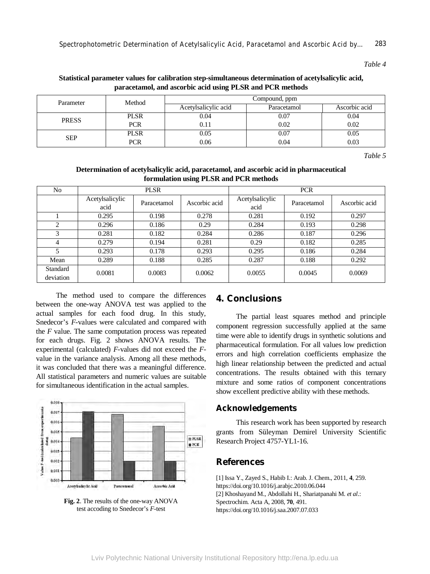*Table 4* 

#### **Statistical parameter values for calibration step-simultaneous determination of acetylsalicylic acid, paracetamol, and ascorbic acid using PLSR and PCR methods**

| Parameter    | Method      | Compound, ppm        |             |               |  |  |
|--------------|-------------|----------------------|-------------|---------------|--|--|
|              |             | Acetylsalicylic acid | Paracetamol | Ascorbic acid |  |  |
| <b>PRESS</b> | <b>PLSR</b> | 0.04                 | 0.07        | 0.04          |  |  |
|              | <b>PCR</b>  | 0.11                 | 0.02        | 0.02          |  |  |
| <b>SEP</b>   | <b>PLSR</b> | 0.05                 | 0.07        | 0.05          |  |  |
|              | <b>PCR</b>  | 0.06                 | 0.04        | 0.03          |  |  |

*Table 5* 

#### **Determination of acetylsalicylic acid, paracetamol, and ascorbic acid in pharmaceutical formulation using PLSR and PCR methods**

| No                    |                         | <b>PLSR</b> |               | <b>PCR</b>              |             |               |
|-----------------------|-------------------------|-------------|---------------|-------------------------|-------------|---------------|
|                       | Acetylsalicylic<br>acid | Paracetamol | Ascorbic acid | Acetylsalicylic<br>acid | Paracetamol | Ascorbic acid |
|                       | 0.295                   | 0.198       | 0.278         | 0.281                   | 0.192       | 0.297         |
| $\overline{c}$        | 0.296                   | 0.186       | 0.29          | 0.284                   | 0.193       | 0.298         |
| 3                     | 0.281                   | 0.182       | 0.284         | 0.286                   | 0.187       | 0.296         |
| 4                     | 0.279                   | 0.194       | 0.281         | 0.29                    | 0.182       | 0.285         |
| 5                     | 0.293                   | 0.178       | 0.293         | 0.295                   | 0.186       | 0.284         |
| Mean                  | 0.289                   | 0.188       | 0.285         | 0.287                   | 0.188       | 0.292         |
| Standard<br>deviation | 0.0081                  | 0.0083      | 0.0062        | 0.0055                  | 0.0045      | 0.0069        |

The method used to compare the differences between the one-way ANOVA test was applied to the actual samples for each food drug. In this study, Snedecor's *F*-values were calculated and compared with the *F* value. The same computation process was repeated for each drugs. Fig. 2 shows ANOVA results. The experimental (calculated) *F-*values did not exceed the *F*value in the variance analysis. Among all these methods, it was concluded that there was a meaningful difference. All statistical parameters and numeric values are suitable for simultaneous identification in the actual samples.



**Fig. 2**. The results of the one-way ANOVA test accoding to Snedecor's *F*-test

### **4. Conclusions**

The partial least squares method and principle component regression successfully applied at the same time were able to identify drugs in synthetic solutions and pharmaceutical formulation. For all values low prediction errors and high correlation coefficients emphasize the high linear relationship between the predicted and actual concentrations. The results obtained with this ternary mixture and some ratios of component concentrations show excellent predictive ability with these methods.

### **Acknowledgements**

This research work has been supported by research grants from Süleyman Demirel University Scientific Research Project 4757-YL1-16.

### **References**

[1] Issa Y., Zayed S., Habib I.: Arab. J. Chem., 2011, **4**, 259. https://doi.org/10.1016/j.arabjc.2010.06.044 [2] Khoshayand M., Abdollahi H., Shariatpanahi M. *et al*.: Spectrochim. Acta A, 2008, **70**, 491. https://doi.org/10.1016/j.saa.2007.07.033